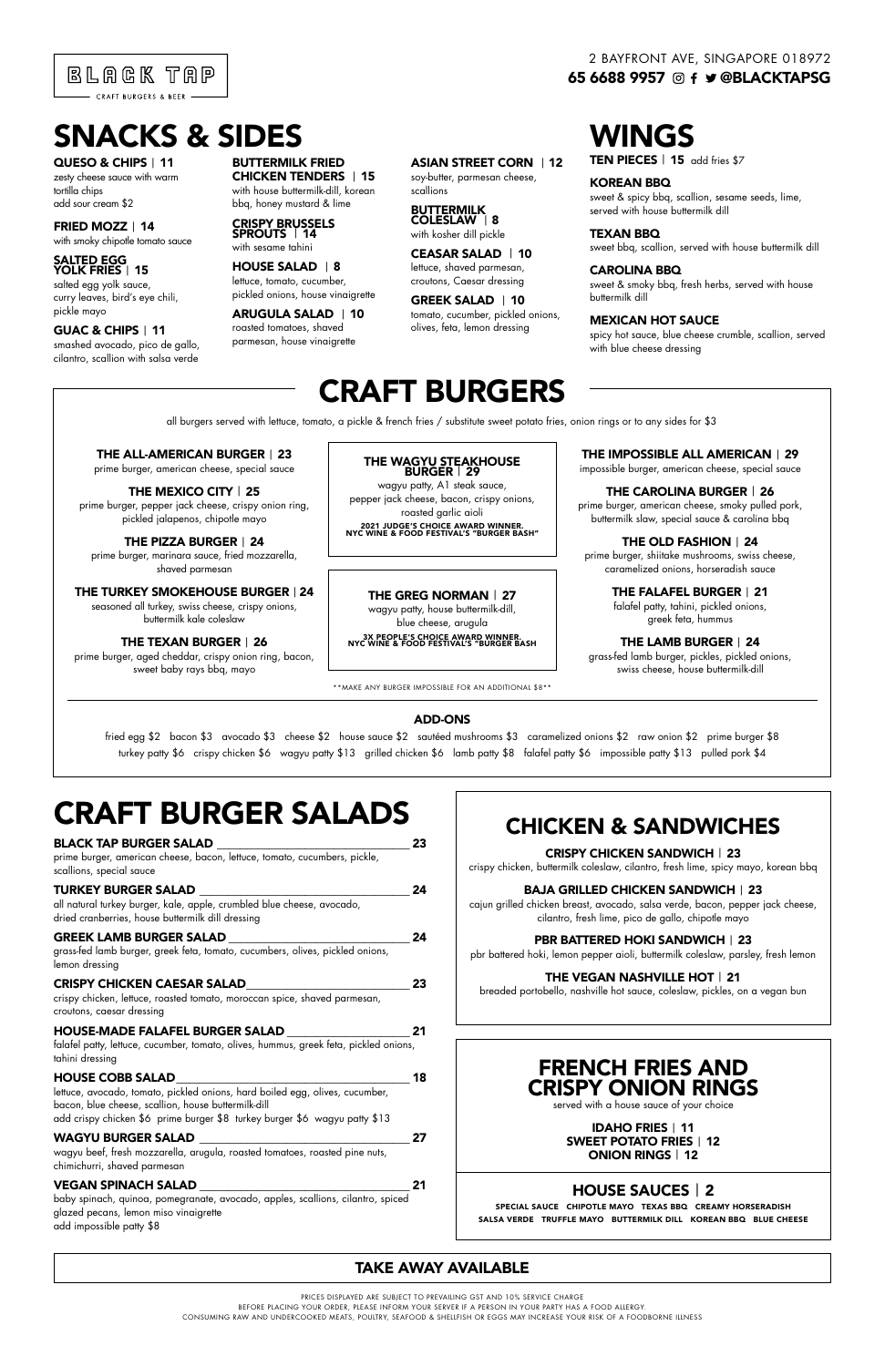# CRAFT BURGER SALADS

| <b>BLACK TAP BURGER SALAD</b>                                                                                               |    |
|-----------------------------------------------------------------------------------------------------------------------------|----|
| prime burger, american cheese, bacon, lettuce, tomato, cucumbers, pickle,<br>scallions, special sauce                       |    |
| <b>TURKEY BURGER SALAD</b>                                                                                                  | 24 |
| all natural turkey burger, kale, apple, crumbled blue cheese, avocado,<br>dried cranberries, house buttermilk dill dressing |    |
| <b>GREEK LAMB BURGER SALAD</b>                                                                                              | 24 |
| grass-fed lamb burger, greek feta, tomato, cucumbers, olives, pickled onions,                                               |    |
| lemon dressing                                                                                                              |    |
| <b>CRISPY CHICKEN CAESAR SALAD</b>                                                                                          |    |

### crispy chicken, lettuce, roasted tomato, moroccan spice, shaved parmesan,

croutons, caesar dressing

#### HOUSE-MADE FALAFEL BURGER SALAD \_\_\_\_\_\_\_\_\_\_\_\_\_\_\_\_\_\_\_\_\_ 21

falafel patty, lettuce, cucumber, tomato, olives, hummus, greek feta, pickled onions, tahini dressing

#### HOUSE COBB SALAD\_\_\_\_\_\_\_\_\_\_\_\_\_\_\_\_\_\_\_\_\_\_\_\_\_\_\_\_\_\_\_\_\_\_\_\_\_\_\_\_ 18

lettuce, avocado, tomato, pickled onions, hard boiled egg, olives, cucumber, bacon, blue cheese, scallion, house buttermilk-dill add crispy chicken \$6 prime burger \$8 turkey burger \$6 wagyu patty \$13

### WAGYU BURGER SALAD **WAGYU BURGER** SALAD

wagyu beef, fresh mozzarella, arugula, roasted tomatoes, roasted pine nuts, chimichurri, shaved parmesan

#### VEGAN SPINACH SALAD \_\_\_\_\_\_\_\_\_\_\_\_\_\_\_\_\_\_\_\_\_\_\_\_\_\_\_\_\_\_\_\_\_\_\_\_ 21

baby spinach, quinoa, pomegranate, avocado, apples, scallions, cilantro, spiced glazed pecans, lemon miso vinaigrette add impossible patty \$8

all burgers served with lettuce, tomato, a pickle & french fries / substitute sweet potato fries, onion rings or to any sides for \$3

PRICES DISPLAYED ARE SUBJECT TO PREVAILING GST AND 10% SERVICE CHARGE BEFORE PLACING YOUR ORDER, PLEASE INFORM YOUR SERVER IF A PERSON IN YOUR PARTY HAS A FOOD ALLERGY. CONSUMING RAW AND UNDERCOOKED MEATS, POULTRY, SEAFOOD & SHELLFISH OR EGGS MAY INCREASE YOUR RISK OF A FOODBORNE ILLNESS



### 2 BAYFRONT AVE, SINGAPORE 018972 65 6688 9957 © f ♥ @BLACKTAPSG

# CRAFT BURGERS

## THE ALL-AMERICAN BURGER | 23

wagyu patty, A1 steak sauce, pepper jack cheese, bacon, crispy onions, roasted garlic aioli

prime burger, american cheese, special sauce

#### THE MEXICO CITY | 25

QUESO & CHIPS | 11 zesty cheese sauce with warm tortilla chips add sour cream \$2

> prime burger, pepper jack cheese, crispy onion ring, pickled jalapenos, chipotle mayo

THE PIZZA BURGER | 24 prime burger, marinara sauce, fried mozzarella, shaved parmesan

### THE TURKEY SMOKEHOUSE BURGER | 24

seasoned all turkey, swiss cheese, crispy onions, buttermilk kale coleslaw

#### THE TEXAN BURGER | 26

prime burger, aged cheddar, crispy onion ring, bacon, sweet baby rays bbq, mayo

\*\*MAKE ANY BURGER IMPOSSIBLE FOR AN ADDITIONAL \$8\*\*

#### ADD-ONS

fried egg \$2 bacon \$3 avocado \$3 cheese \$2 house sauce \$2 sautéed mushrooms \$3 caramelized onions \$2 raw onion \$2 prime burger \$8 turkey patty \$6 crispy chicken \$6 wagyu patty \$13 grilled chicken \$6 lamb patty \$8 falafel patty \$6 impossible patty \$13 pulled pork \$4

# FRENCH FRIES AND CRISPY ONION RINGS

served with a house sauce of your choice

IDAHO FRIES | 11 SWEET POTATO FRIES | 12 ONION RINGS | 12

# HOUSE SAUCES | 2

SPECIAL SAUCE CHIPOTLE MAYO TEXAS BBQ CREAMY HORSERADISH

SALSA VERDE TRUFFLE MAYO BUTTERMILK DILL KOREAN BBQ BLUE CHEESE

# CHICKEN & SANDWICHES

CRISPY CHICKEN SANDWICH | 23

crispy chicken, buttermilk coleslaw, cilantro, fresh lime, spicy mayo, korean bbq

#### BAJA GRILLED CHICKEN SANDWICH | 23

cajun grilled chicken breast, avocado, salsa verde, bacon, pepper jack cheese, cilantro, fresh lime, pico de gallo, chipotle mayo

#### PBR BATTERED HOKI SANDWICH | 23

pbr battered hoki, lemon pepper aioli, buttermilk coleslaw, parsley, fresh lemon

### THE VEGAN NASHVILLE HOT | 21

breaded portobello, nashville hot sauce, coleslaw, pickles, on a vegan bun

# TAKE AWAY AVAILABLE

# THE GREG NORMAN | 27

wagyu patty, house buttermilk-dill, blue cheese, arugula

3X PEOPLE'S CHOICE AWARD WINNER. NYC WINE & FOOD FESTIVAL'S "BURGER BASH

#### THE WAGYU STEAKHOUSE BURGER | 29

#### 2021 JUDGE'S CHOICE AWARD WINNER. NYC WINE & FOOD FESTIVAL'S "BURGER BASH"

# SNACKS & SIDES

#### FRIED MOZZ | 14

with smoky chipotle tomato sauce

#### SALTED EGG YOLK FRIES | 15

salted egg yolk sauce, curry leaves, bird's eye chili, pickle mayo

#### GUAC & CHIPS | 11

smashed avocado, pico de gallo, cilantro, scallion with salsa verde

BUTTERMILK FRIED CHICKEN TENDERS | 15 with house buttermilk-dill, korean

#### bbq, honey mustard & lime CRISPY BRUSSELS SPROUTS | 14

# with sesame tahini

#### HOUSE SALAD | 8

lettuce, tomato, cucumber, pickled onions, house vinaigrette ARUGULA SALAD | 10 roasted tomatoes, shaved

parmesan, house vinaigrette

#### ASIAN STREET CORN | 12

soy-butter, parmesan cheese, scallions

#### BUTTERMILK COLESLAW | 8

with kosher dill pickle

#### CEASAR SALAD | 10 lettuce, shaved parmesan, croutons, Caesar dressing

GREEK SALAD | 10 tomato, cucumber, pickled onions, olives, feta, lemon dressing

WINGS

KOREAN BBQ sweet & spicy bbq, scallion, sesame seeds, lime, served with house buttermilk dill

TEN PIECES | 15 add fries \$7

TEXAN BBQ

sweet bbq, scallion, served with house buttermilk dill

#### CAROLINA BBQ

sweet & smoky bbq, fresh herbs, served with house buttermilk dill

#### MEXICAN HOT SAUCE

spicy hot sauce, blue cheese crumble, scallion, served with blue cheese dressing

THE IMPOSSIBLE ALL AMERICAN | 29

impossible burger, american cheese, special sauce

#### THE CAROLINA BURGER | 26 prime burger, american cheese, smoky pulled pork,

buttermilk slaw, special sauce & carolina bbq

### THE OLD FASHION | 24

prime burger, shiitake mushrooms, swiss cheese, caramelized onions, horseradish sauce

### THE FALAFEL BURGER | 21

falafel patty, tahini, pickled onions, greek feta, hummus

#### THE LAMB BURGER | 24

grass-fed lamb burger, pickles, pickled onions, swiss cheese, house buttermilk-dill